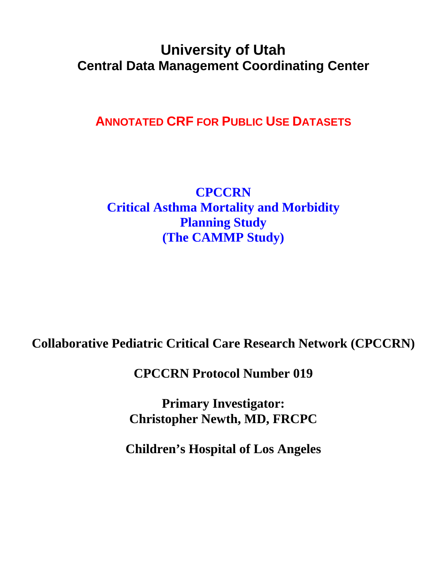# **University of Utah Central Data Management Coordinating Center**

**ANNOTATED CRF FOR PUBLIC USE DATASETS**

**CPCCRN Critical Asthma Mortality and Morbidity Planning Study (The CAMMP Study)** 

**Collaborative Pediatric Critical Care Research Network (CPCCRN)** 

**CPCCRN Protocol Number 019** 

**Primary Investigator: Christopher Newth, MD, FRCPC** 

**Children's Hospital of Los Angeles**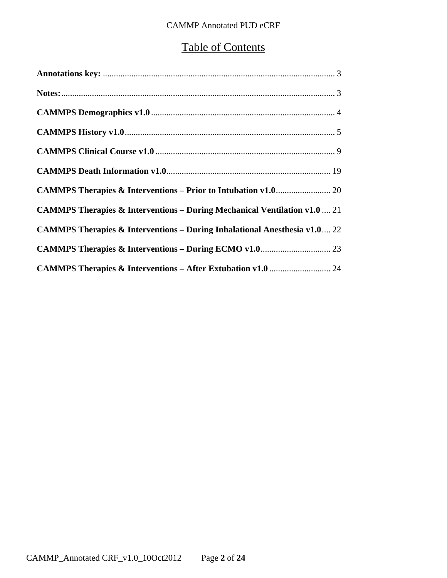# Table of Contents

| <b>CAMMPS Therapies &amp; Interventions – During Mechanical Ventilation v1.0  21</b> |
|--------------------------------------------------------------------------------------|
| <b>CAMMPS Therapies &amp; Interventions – During Inhalational Anesthesia v1.0 22</b> |
|                                                                                      |
|                                                                                      |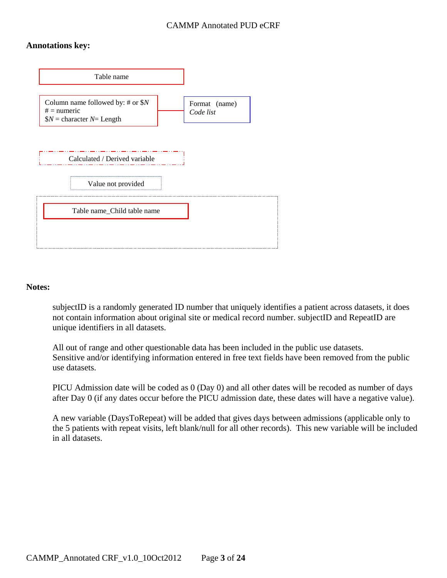#### **Annotations key:**



#### **Notes:**

subjectID is a randomly generated ID number that uniquely identifies a patient across datasets, it does not contain information about original site or medical record number. subjectID and RepeatID are unique identifiers in all datasets.

All out of range and other questionable data has been included in the public use datasets. Sensitive and/or identifying information entered in free text fields have been removed from the public use datasets.

PICU Admission date will be coded as 0 (Day 0) and all other dates will be recoded as number of days after Day 0 (if any dates occur before the PICU admission date, these dates will have a negative value).

A new variable (DaysToRepeat) will be added that gives days between admissions (applicable only to the 5 patients with repeat visits, left blank/null for all other records). This new variable will be included in all datasets.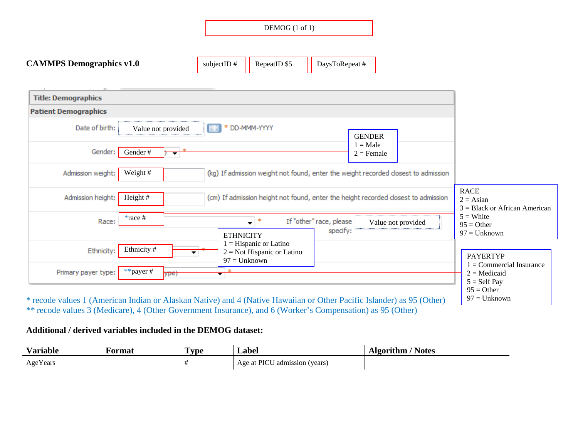| DEMOG (1 of 1) |  |  |
|----------------|--|--|
|----------------|--|--|

| <b>CAMMPS Demographics v1.0</b> | subjectID $#$ | RepeatID \$5 | $\vert$ DaysToRepeat # |  |
|---------------------------------|---------------|--------------|------------------------|--|
|---------------------------------|---------------|--------------|------------------------|--|

| <b>Title: Demographics</b>  |                                                                                                  |                                                                                |
|-----------------------------|--------------------------------------------------------------------------------------------------|--------------------------------------------------------------------------------|
| <b>Patient Demographics</b> |                                                                                                  |                                                                                |
| Date of birth:              | * DD-MMM-YYYY<br>Value not provided<br><b>GENDER</b><br>$1 = Male$                               |                                                                                |
| Gender:                     | Gender#<br>$2 =$ Female<br>▼                                                                     |                                                                                |
| Admission weight:           | Weight #<br>(kg) If admission weight not found, enter the weight recorded closest to admission   |                                                                                |
| Admission height:           | Height $#$<br>(cm) If admission height not found, enter the height recorded closest to admission | <b>RACE</b><br>$2 = Asian$<br>$3 = Black$ or African American                  |
| Race:                       | $*race$ #<br>∗<br>If "other" race, please<br>Value not provided<br>specify:<br><b>ETHNICITY</b>  | $5 =$ White<br>$95 = Other$<br>$97 =$ Unknown                                  |
| Ethnicity:                  | $1 =$ Hispanic or Latino<br>Ethnicity #<br>$2 = Not Hispanic or Latino$<br>$97 =$ Unknown        | <b>PAYERTYP</b>                                                                |
| Primary payer type:         | 金<br>**payer#<br>ype)                                                                            | $1 =$ Commercial Insurance<br>$2 =$ Medicaid<br>$5 = Self Pay$<br>$95 = Other$ |

\* recode values 1 (American Indian or Alaskan Native) and 4 (Native Hawaiian or Other Pacific Islander) as 95 (Other) \*\* recode values 3 (Medicare), 4 (Other Government Insurance), and 6 (Worker's Compensation) as 95 (Other)

#### **Additional / derived variables included in the DEMOG dataset:**

| Variable | Format | <b>Type</b> | abel_                      | <b>Notes</b><br>Algorithm |
|----------|--------|-------------|----------------------------|---------------------------|
| AgeYears |        |             | Age at PICU<br>dia (years) |                           |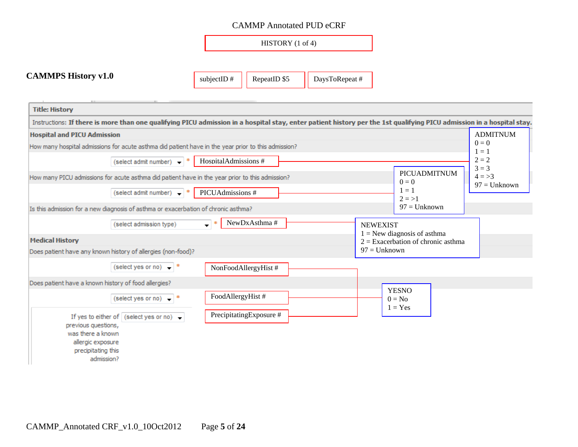HISTORY (1 of 4)

### **CAMMPS History v1.0**

subjectID  $\#$  RepeatID \$5 | DaysToRepeat #

| <b>Title: History</b>                                                                                                                                                                        |                                                  |                                        |
|----------------------------------------------------------------------------------------------------------------------------------------------------------------------------------------------|--------------------------------------------------|----------------------------------------|
| Instructions: If there is more than one qualifying PICU admission in a hospital stay, enter patient history per the 1st qualifying PICU admission in a hospital stay.                        |                                                  |                                        |
| <b>Hospital and PICU Admission</b>                                                                                                                                                           |                                                  | <b>ADMITNUM</b>                        |
| How many hospital admissions for acute asthma did patient have in the year prior to this admission?                                                                                          |                                                  | $0 = 0$<br>$1 = 1$                     |
| HospitalAdmissions #<br>(select admit number) $\rightarrow$                                                                                                                                  |                                                  | $2 = 2$                                |
| How many PICU admissions for acute asthma did patient have in the year prior to this admission?                                                                                              | PICUADMITNUM<br>$0 = 0$                          | $3 = 3$<br>$4 = > 3$<br>$97 =$ Unknown |
| (select admit number) $\rightarrow$ *<br>PICUAdmissions #                                                                                                                                    | $1 = 1$<br>$2 = > 1$                             |                                        |
| Is this admission for a new diagnosis of asthma or exacerbation of chronic asthma?                                                                                                           | $97 =$ Unknown                                   |                                        |
| NewDxAsthma#<br>$\mathbf{F}^{\dagger}$<br>(select admission type)                                                                                                                            | <b>NEWEXIST</b><br>$1 =$ New diagnosis of asthma |                                        |
| <b>Medical History</b>                                                                                                                                                                       | $2 =$ Exacerbation of chronic asthma             |                                        |
| Does patient have any known history of allergies (non-food)?                                                                                                                                 | $97 =$ Unknown                                   |                                        |
| (select yes or no) $*$<br>NonFoodAllergyHist #                                                                                                                                               |                                                  |                                        |
| Does patient have a known history of food allergies?                                                                                                                                         | <b>YESNO</b>                                     |                                        |
| FoodAllergyHist #<br>(select yes or no) $\bullet$  *                                                                                                                                         | $0 = No$<br>$1 = Yes$                            |                                        |
| PrecipitatingExposure #<br>If yes to either of $\vert$ (select yes or no) $\rightarrow$<br>previous questions,<br>was there a known<br>allergic exposure<br>precipitating this<br>admission? |                                                  |                                        |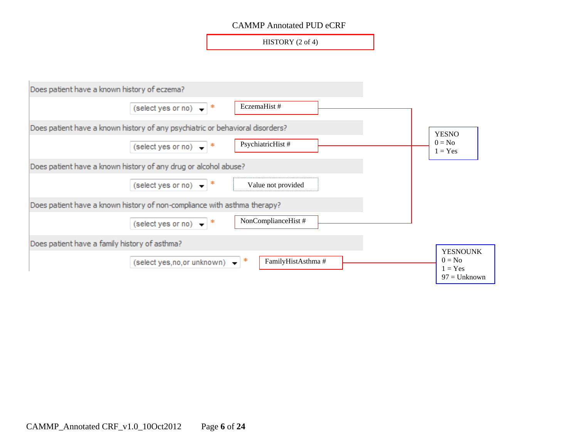HISTORY (2 of 4)

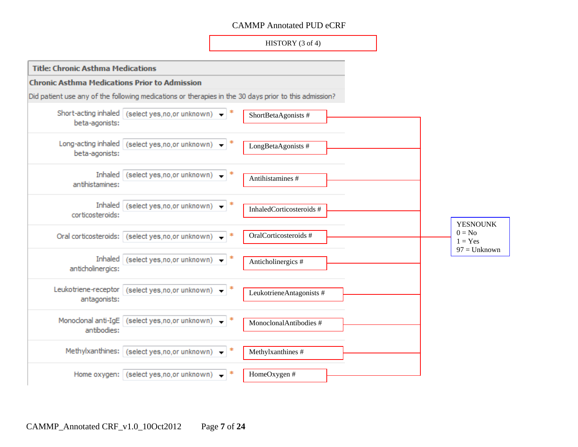HISTORY (3 of 4)

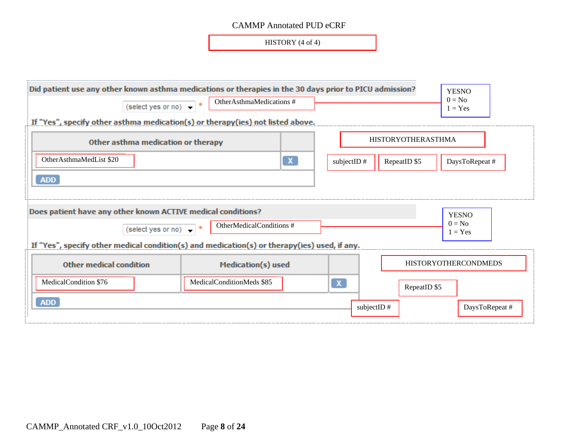HISTORY (4 of 4)

| Did patient use any other known asthma medications or therapies in the 30 days prior to PICU admission?<br>$\overline{\text{ (select yes or no)}}$ $\rightarrow$ *<br>If "Yes", specify other asthma medication(s) or therapy(ies) not listed above. | OtherAsthmaMedications #      |                              | <b>YESNO</b><br>$0 = No$<br>$1 = Yes$ |
|------------------------------------------------------------------------------------------------------------------------------------------------------------------------------------------------------------------------------------------------------|-------------------------------|------------------------------|---------------------------------------|
| Other asthma medication or therapy                                                                                                                                                                                                                   |                               | <b>HISTORYOTHERASTHMA</b>    |                                       |
| OtherAsthmaMedList \$20                                                                                                                                                                                                                              | subjectID $#$<br>RepeatID \$5 | DaysToRepeat #               |                                       |
| <b>ADD</b>                                                                                                                                                                                                                                           |                               |                              |                                       |
| Does patient have any other known ACTIVE medical conditions?                                                                                                                                                                                         |                               |                              | <b>YESNO</b>                          |
| (select yes or no) $*$                                                                                                                                                                                                                               | OtherMedicalConditions #      |                              | $0 = No$<br>$1 = Yes$                 |
| If "Yes", specify other medical condition(s) and medication(s) or therapy(ies) used, if any.                                                                                                                                                         |                               |                              |                                       |
| <b>Other medical condition</b>                                                                                                                                                                                                                       |                               | <b>HISTORYOTHERCONDMEDS</b>  |                                       |
| MedicalCondition \$76                                                                                                                                                                                                                                | MedicalConditionMeds \$85     | $\mathbf{x}$<br>RepeatID \$5 |                                       |
| <b>ADD</b>                                                                                                                                                                                                                                           |                               | subjectID#                   | DaysToRepeat #                        |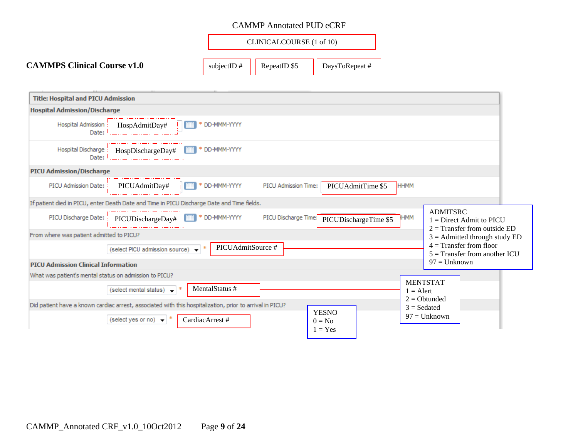|                                    |               | CLINICALCOURSE (1 of 10) |                |  |  |
|------------------------------------|---------------|--------------------------|----------------|--|--|
| <b>CAMMPS Clinical Course v1.0</b> | subjectID $#$ | RepeatID \$5             | DaysToRepeat # |  |  |

| <b>Title: Hospital and PICU Admission</b>                                                                          |                                                                                 |
|--------------------------------------------------------------------------------------------------------------------|---------------------------------------------------------------------------------|
| <b>Hospital Admission/Discharge</b>                                                                                |                                                                                 |
| Hospital Admission<br>* DD-MMM-YYYY<br>HospAdmitDay#<br>Date:                                                      |                                                                                 |
| * DD-MMM-YYYY<br>Hospital Discharge<br>HospDischargeDay#<br>Date:                                                  |                                                                                 |
| <b>PICU Admission/Discharge</b>                                                                                    |                                                                                 |
| PICUAdmitDay#<br>PICU Admission Date:<br>* DD-MMM-YYYY<br>PICU Admission Time:<br>PICUAdmitTime \$5<br><b>HHMM</b> |                                                                                 |
| If patient died in PICU, enter Death Date and Time in PICU Discharge Date and Time fields.                         |                                                                                 |
| PICU Discharge Date:<br>* DD-MMM-YYYY<br>PICU Discharge Time:<br>HMM<br>PICUDischargeDay#<br>PICUDischargeTime \$5 | <b>ADMITSRC</b><br>$1 =$ Direct Admit to PICU<br>$2 =$ Transfer from outside ED |
| From where was patient admitted to PICU?                                                                           | $3 =$ Admitted through study ED                                                 |
| PICUAdmitSource #<br>(select PICU admission source)                                                                | $4 =$ Transfer from floor<br>$5 =$ Transfer from another ICU                    |
| <b>PICU Admission Clinical Information</b>                                                                         | $97 =$ Unknown                                                                  |
| What was patient's mental status on admission to PICU?                                                             | <b>MENTSTAT</b>                                                                 |
| MentalStatus #<br>(select mental status) $\leftarrow$ *<br>$1 =$ Alert                                             | $2 = \text{Obtundred}$                                                          |
| Did patient have a known cardiac arrest, associated with this hospitalization, prior to arrival in PICU?           | $3 = S$ edated                                                                  |
| <b>YESNO</b><br>CardiacArrest #<br>(select yes or no) $\bullet$<br>$0 = No$<br>$1 = Yes$                           | $97 =$ Unknown                                                                  |
|                                                                                                                    |                                                                                 |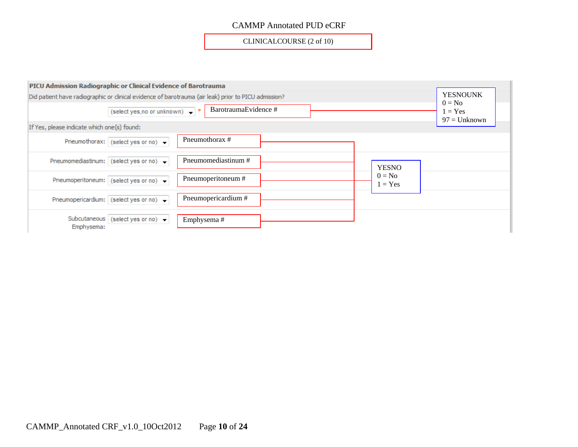CLINICALCOURSE (2 of 10)

| PICU Admission Radiographic or Clinical Evidence of Barotrauma                                       |                                                     |                     |                       |  |
|------------------------------------------------------------------------------------------------------|-----------------------------------------------------|---------------------|-----------------------|--|
| Did patient have radiographic or clinical evidence of barotrauma (air leak) prior to PICU admission? | <b>YESNOUNK</b>                                     |                     |                       |  |
|                                                                                                      | $0 = No$<br>$1 = Yes$<br>$97 =$ Unknown             |                     |                       |  |
| If Yes, please indicate which one(s) found:                                                          |                                                     |                     |                       |  |
|                                                                                                      | Pneumothorax: (select yes or no) $\rightarrow$      | Pneumothorax #      |                       |  |
|                                                                                                      | Pneumomediastinum: (select yes or no) $\rightarrow$ | Pneumomediastinum # | <b>YESNO</b>          |  |
|                                                                                                      | Pneumoperitoneum: (select yes or no) $\rightarrow$  | Pneumoperitoneum #  | $0 = No$<br>$1 = Yes$ |  |
|                                                                                                      | Pneumopericardium: (select yes or no) $\rightarrow$ | Pneumopericardium # |                       |  |
| Emphysema:                                                                                           | Subcutaneous (select yes or no) $\rightarrow$       | Emphysema#          |                       |  |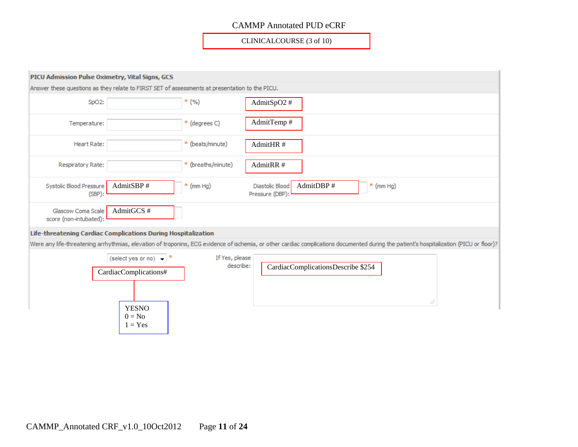CLINICALCOURSE (3 of 10)

| PICU Admission Pulse Oximetry, Vital Signs, GCS                                                |                                                                                       |                             |                                                                                                                                                                                          |
|------------------------------------------------------------------------------------------------|---------------------------------------------------------------------------------------|-----------------------------|------------------------------------------------------------------------------------------------------------------------------------------------------------------------------------------|
| Answer these questions as they relate to FIRST SET of assessments at presentation to the PICU. |                                                                                       |                             |                                                                                                                                                                                          |
| SpO <sub>2</sub> :                                                                             |                                                                                       | $*$ (%)                     | AdmitSpO2#                                                                                                                                                                               |
| Temperature:                                                                                   |                                                                                       | * (degrees C)               | AdmitTemp#                                                                                                                                                                               |
| Heart Rate:                                                                                    |                                                                                       | * (beats/minute)            | AdmitHR#                                                                                                                                                                                 |
| Respiratory Rate:                                                                              |                                                                                       | * (breaths/minute)          | AdmitRR#                                                                                                                                                                                 |
| Systolic Blood Pressure<br>$(SBP)$ :                                                           | AdmitSBP#                                                                             | (mm Hg)<br>*                | AdmitDBP#<br>Diastolic Blood<br>$*$ (mm Hg)<br>Pressure (DBP):                                                                                                                           |
| Glascow Coma Scale<br>score (non-intubated):                                                   | AdmitGCS#                                                                             |                             |                                                                                                                                                                                          |
| Life-threatening Cardiac Complications During Hospitalization                                  |                                                                                       |                             |                                                                                                                                                                                          |
|                                                                                                |                                                                                       |                             | Were any life-threatening arrhythmias, elevation of troponins, ECG evidence of ischemia, or other cardiac complications documented during the patient's hospitalization (PICU or floor)? |
|                                                                                                | (select yes or no) $\rightarrow$<br>CardiacComplications#<br><b>YESNO</b><br>$0 = No$ | If Yes, please<br>describe: | CardiacComplicationsDescribe \$254<br>$\frac{1}{2}$                                                                                                                                      |
|                                                                                                | $1 = Yes$                                                                             |                             |                                                                                                                                                                                          |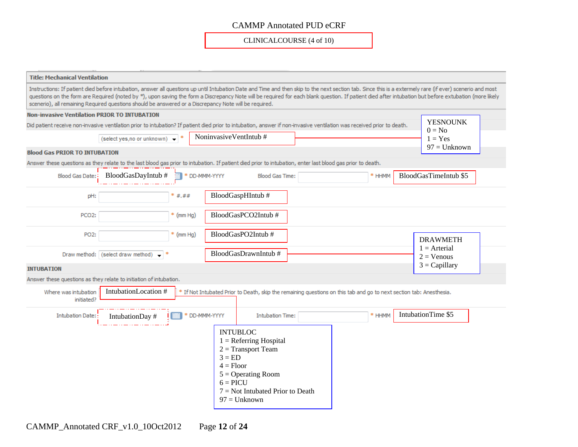CLINICALCOURSE (4 of 10)

| <b>Title: Mechanical Ventilation</b>                               |                                                                                                        |               |                                       |                                                                                                                                                                                                                                                                                                                                                                                                                     |        |  |                                 |
|--------------------------------------------------------------------|--------------------------------------------------------------------------------------------------------|---------------|---------------------------------------|---------------------------------------------------------------------------------------------------------------------------------------------------------------------------------------------------------------------------------------------------------------------------------------------------------------------------------------------------------------------------------------------------------------------|--------|--|---------------------------------|
|                                                                    | scenerio), all remaining Required questions should be answered or a Discrepancy Note will be required. |               |                                       | Instructions: If patient died before intubation, answer all questions up until Intubation Date and Time and then skip to the next section tab. Since this is a extermely rare (if ever) scenerio and most<br>questions on the form are Required (noted by *), upon saving the form a Discrepancy Note will be required for each blank question. If patient died after intubation but before extubation (more likely |        |  |                                 |
| <b>Non-invasive Ventilation PRIOR TO INTUBATION</b>                |                                                                                                        |               |                                       |                                                                                                                                                                                                                                                                                                                                                                                                                     |        |  |                                 |
|                                                                    |                                                                                                        |               |                                       | Did patient receive non-invasive ventilation prior to intubation? If patient died prior to intubation, answer if non-invasive ventilation was received prior to death.                                                                                                                                                                                                                                              |        |  | <b>YESNOUNK</b><br>$0 = No$     |
| NoninvasiveVentIntub#<br>(select yes, no or unknown)               |                                                                                                        |               |                                       |                                                                                                                                                                                                                                                                                                                                                                                                                     |        |  | $1 = Yes$<br>$97 =$ Unknown     |
| <b>Blood Gas PRIOR TO INTUBATION</b>                               |                                                                                                        |               |                                       |                                                                                                                                                                                                                                                                                                                                                                                                                     |        |  |                                 |
|                                                                    |                                                                                                        |               |                                       | Answer these questions as they relate to the last blood gas prior to intubation. If patient died prior to intubation, enter last blood gas prior to death.                                                                                                                                                                                                                                                          |        |  |                                 |
|                                                                    | Blood Gas Date: $\frac{1}{2}$ BloodGasDayIntub #                                                       | * DD-MMM-YYYY |                                       | <b>Blood Gas Time:</b>                                                                                                                                                                                                                                                                                                                                                                                              | * HHMM |  | BloodGasTimeIntub \$5           |
| pH:                                                                |                                                                                                        | * #.##        |                                       | BloodGaspHIntub#                                                                                                                                                                                                                                                                                                                                                                                                    |        |  |                                 |
| PCO <sub>2</sub> :                                                 |                                                                                                        | $*$ (mm Hg)   |                                       | BloodGasPCO2Intub#                                                                                                                                                                                                                                                                                                                                                                                                  |        |  |                                 |
| PO <sub>2</sub> :                                                  |                                                                                                        | $*$ (mm Hg)   |                                       | BloodGasPO2Intub#                                                                                                                                                                                                                                                                                                                                                                                                   |        |  | <b>DRAWMETH</b>                 |
|                                                                    | Draw method: (select draw method) $\bullet$ *                                                          |               |                                       | BloodGasDrawnIntub#                                                                                                                                                                                                                                                                                                                                                                                                 |        |  | $1 =$ Arterial<br>$2 = V$ enous |
| <b>INTUBATION</b>                                                  |                                                                                                        |               |                                       |                                                                                                                                                                                                                                                                                                                                                                                                                     |        |  | $3 = Capillary$                 |
| Answer these questions as they relate to initiation of intubation. |                                                                                                        |               |                                       |                                                                                                                                                                                                                                                                                                                                                                                                                     |        |  |                                 |
| Where was intubation<br>initiated?                                 | IntubationLocation #                                                                                   |               |                                       | * If Not Intubated Prior to Death, skip the remaining questions on this tab and go to next section tab: Anesthesia.                                                                                                                                                                                                                                                                                                 |        |  |                                 |
| <b>Intubation Date:</b>                                            | IntubationDay #                                                                                        | * DD-MMM-YYYY |                                       | <b>Intubation Time:</b>                                                                                                                                                                                                                                                                                                                                                                                             | * HHMM |  | IntubationTime \$5              |
|                                                                    |                                                                                                        |               | $3 = ED$<br>$4 =$ Floor<br>$6 = PICU$ | <b>INTUBLOC</b><br>$1 =$ Referring Hospital<br>$2 =$ Transport Team<br>$5 =$ Operating Room<br>$7 = Not Intubated Prior to Death$<br>$97 =$ Unknown                                                                                                                                                                                                                                                                 |        |  |                                 |

CAMMP\_Annotated CRF\_v1.0\_10Oct2012 Page **12** of **24**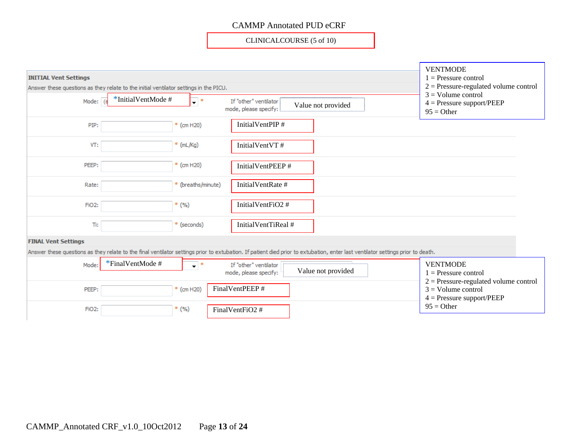CLINICALCOURSE (5 of 10)

| <b>INITIAL Vent Settings</b><br>Answer these questions as they relate to the initial ventilator settings in the PICU. |                     |                           | <b>VENTMODE</b><br>$1 =$ Pressure control<br>$2$ = Pressure-regulated volume control<br>$3 =$ Volume control                                                                    |  |
|-----------------------------------------------------------------------------------------------------------------------|---------------------|---------------------------|---------------------------------------------------------------------------------------------------------------------------------------------------------------------------------|--|
| Mode:                                                                                                                 | *InitialVentMode#   | $\overline{\mathbf{v}}$ : | If "other" ventilator<br>$4 =$ Pressure support/PEEP<br>Value not provided<br>mode, please specify:<br>$95 =$ Other                                                             |  |
| PIP:                                                                                                                  |                     | * (cm H20)                | InitialVentPIP#                                                                                                                                                                 |  |
| VT:                                                                                                                   |                     | * (mL/Kg)                 | InitialVentVT#                                                                                                                                                                  |  |
| PEEP:                                                                                                                 |                     | * (cm H20)                | InitialVentPEEP#                                                                                                                                                                |  |
| Rate:                                                                                                                 |                     | * (breaths/minute)        | InitialVentRate #                                                                                                                                                               |  |
| FiO <sub>2</sub> :                                                                                                    |                     | $*(\%)$                   | InitialVentFiO2 #                                                                                                                                                               |  |
| Ti:                                                                                                                   |                     | * (seconds)               | InitialVentTiReal #                                                                                                                                                             |  |
| <b>FINAL Vent Settings</b>                                                                                            |                     |                           |                                                                                                                                                                                 |  |
|                                                                                                                       |                     |                           | Answer these questions as they relate to the final ventilator settings prior to extubation. If patient died prior to extubation, enter last ventilator settings prior to death. |  |
| Mode:                                                                                                                 | $*$ FinalVentMode # | $\overline{\phantom{a}}$  | <b>VENTMODE</b><br>If "other" ventilator<br>Value not provided<br>mode, please specify:<br>$1 =$ Pressure control<br>$2$ = Pressure-regulated volume control                    |  |
| PEEP:                                                                                                                 |                     | * (cm H20)                | FinalVentPEEP #<br>$3 =$ Volume control<br>$4 =$ Pressure support/PEEP                                                                                                          |  |
| FiO <sub>2</sub> :                                                                                                    |                     | $*$ (%)                   | $95 = Other$<br>FinalVentFiO2 #                                                                                                                                                 |  |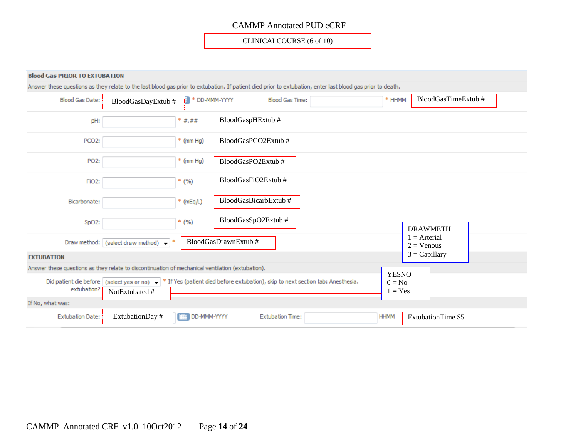CLINICALCOURSE (6 of 10)

| <b>Blood Gas PRIOR TO EXTUBATION</b> |                                                                                                                                                            |                                 |                      |                         |                                       |                                 |
|--------------------------------------|------------------------------------------------------------------------------------------------------------------------------------------------------------|---------------------------------|----------------------|-------------------------|---------------------------------------|---------------------------------|
|                                      | Answer these questions as they relate to the last blood gas prior to extubation. If patient died prior to extubation, enter last blood gas prior to death. |                                 |                      |                         |                                       |                                 |
| <b>Blood Gas Date:</b>               | BloodGasDayExtub #                                                                                                                                         | * DD-MMM-YYYY<br>$\blacksquare$ |                      | <b>Blood Gas Time:</b>  | * HHMM                                | BloodGasTimeExtub#              |
| pH:                                  |                                                                                                                                                            | $*$ #.##                        | BloodGaspHExtub#     |                         |                                       |                                 |
| PCO <sub>2</sub> :                   |                                                                                                                                                            | $*$ (mm Hg)                     | BloodGasPCO2Extub#   |                         |                                       |                                 |
| PO <sub>2</sub> :                    |                                                                                                                                                            | $*$ (mm Hg)                     | BloodGasPO2Extub#    |                         |                                       |                                 |
| FiO <sub>2</sub> :                   |                                                                                                                                                            | $*$ (%)                         | BloodGasFiO2Extub#   |                         |                                       |                                 |
| Bicarbonate:                         |                                                                                                                                                            | $*$ (mEq/L)                     | BloodGasBicarbExtub# |                         |                                       |                                 |
| SpO2:                                |                                                                                                                                                            | $*$ (%)                         | BloodGasSpO2Extub#   |                         |                                       | <b>DRAWMETH</b>                 |
|                                      | Draw method: (select draw method) $\rightarrow$                                                                                                            |                                 | BloodGasDrawnExtub#  |                         |                                       | $1 =$ Arterial<br>$2 = V$ enous |
| <b>EXTUBATION</b>                    |                                                                                                                                                            |                                 |                      |                         |                                       | $3 = Capillary$                 |
|                                      | Answer these questions as they relate to discontinuation of mechanical ventilation (extubation).                                                           |                                 |                      |                         |                                       |                                 |
| extubation?                          | Did patient die before (select yes or no) $\bullet$ * If Yes (patient died before extubation), skip to next section tab: Anesthesia.<br>NotExtubated #     |                                 |                      |                         | <b>YESNO</b><br>$0 = No$<br>$1 = Yes$ |                                 |
| If No, what was:                     |                                                                                                                                                            |                                 |                      |                         |                                       |                                 |
| <b>Extubation Date:</b>              | ExtubationDay #                                                                                                                                            | DD-MMM-YYYY                     |                      | <b>Extubation Time:</b> | <b>HHMM</b>                           | <b>ExtubationTime \$5</b>       |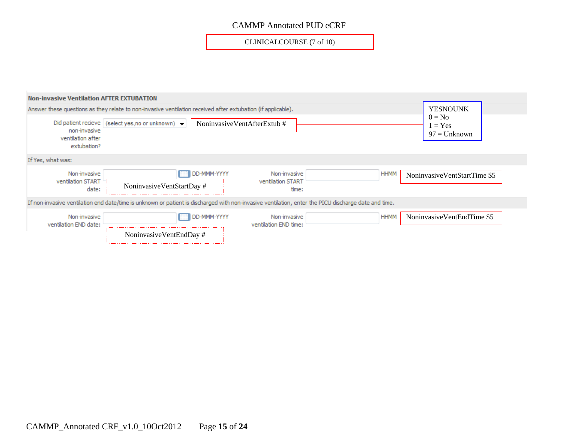CLINICALCOURSE (7 of 10)

| <b>Non-invasive Ventilation AFTER EXTUBATION</b>                                                             |                                                                                                                                                      |                                            |             |                                       |
|--------------------------------------------------------------------------------------------------------------|------------------------------------------------------------------------------------------------------------------------------------------------------|--------------------------------------------|-------------|---------------------------------------|
| Answer these questions as they relate to non-invasive ventilation received after extubation (if applicable). | <b>YESNOUNK</b>                                                                                                                                      |                                            |             |                                       |
| non-invasive<br>ventilation after<br>extubation?                                                             | Did patient recieve (select yes, no or unknown) -                                                                                                    | NoninvasiveVentAfterExtub#                 |             | $0 = No$<br>$= Yes$<br>$97 =$ Unknown |
| If Yes, what was:                                                                                            |                                                                                                                                                      |                                            |             |                                       |
| Non-invasive<br>ventilation START<br>date:                                                                   | DD-MMM-YYYY<br>NoninvasiveVentStartDay#                                                                                                              | Non-invasive<br>ventilation START<br>time: | <b>HHMM</b> | NoninvasiveVentStartTime \$5          |
|                                                                                                              | If non-invasive ventilation end date/time is unknown or patient is discharged with non-invasive ventilation, enter the PICU discharge date and time. |                                            |             |                                       |
| Non-invasive<br>ventilation END date:                                                                        | DD-MMM-YYYY<br>NoninvasiveVentEndDay #                                                                                                               | Non-invasive<br>ventilation END time:      | <b>HHMM</b> | NoninvasiveVentEndTime \$5            |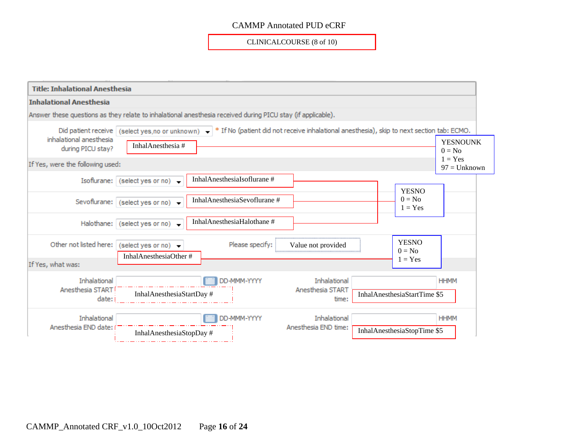CLINICALCOURSE (8 of 10)



CAMMP\_Annotated CRF\_v1.0\_10Oct2012 Page **16** of **24**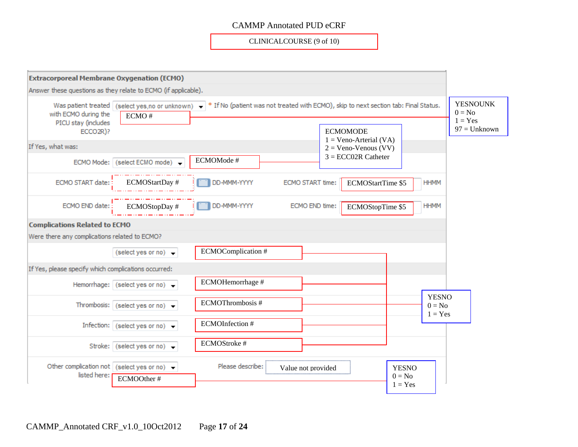CLINICALCOURSE (9 of 10)



CAMMP\_Annotated CRF\_v1.0\_10Oct2012 Page **17** of **24**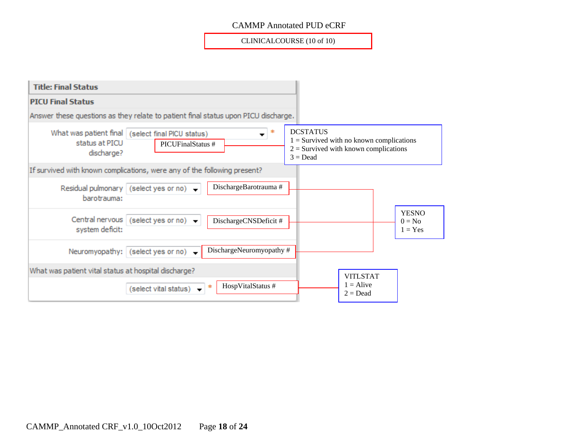CLINICALCOURSE (10 of 10)

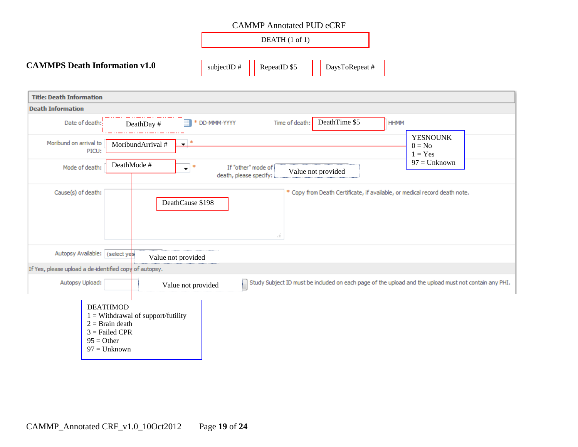

| <b>Title: Death Information</b>                                                                                                                |                                                            |
|------------------------------------------------------------------------------------------------------------------------------------------------|------------------------------------------------------------|
| <b>Death Information</b>                                                                                                                       |                                                            |
| DeathTime \$5<br>Date of death:<br>Time of death:<br><b>HHMM</b><br>* DD-MMM-YYYY<br>DeathDay #                                                |                                                            |
| Moribund on arrival to<br>*<br>MoribundArrival #<br>$\overline{\phantom{a}}$<br>PICU:<br>DeathMode #                                           | <b>YESNOUNK</b><br>$0 = No$<br>$1 = Yes$<br>$97 =$ Unknown |
| Mode of death:<br>$\mathbf{v}^*$<br>If "other" mode of<br>Value not provided<br>death, please specify:                                         |                                                            |
| Cause(s) of death:<br>* Copy from Death Certificate, if available, or medical record death note.<br>DeathCause \$198<br>al.                    |                                                            |
| Autopsy Available: (select yes<br>Value not provided                                                                                           |                                                            |
| If Yes, please upload a de-identified copy of autopsy.                                                                                         |                                                            |
| Study Subject ID must be included on each page of the upload and the upload must not contain any PHI.<br>Autopsy Upload:<br>Value not provided |                                                            |
| <b>DEATHMOD</b><br>$1 =$ Withdrawal of support/futility<br>$2 = \text{Brain death}$<br>$3 =$ Failed CPR<br>$95 = Other$<br>$97 =$ Unknown      |                                                            |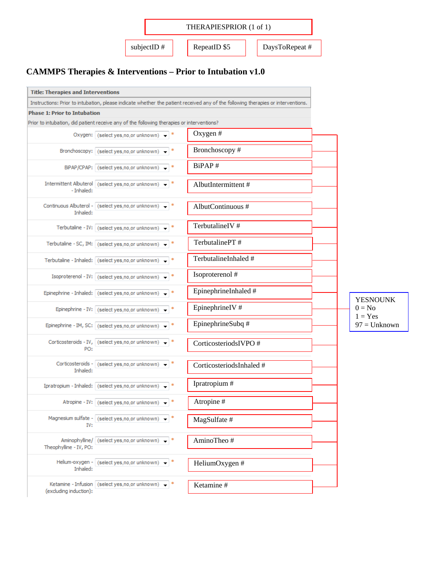

## **CAMMPS Therapies & Interventions – Prior to Intubation v1.0**

| <b>Title: Therapies and Interventions</b> |                                                                                           |                                                                                                                                  |                       |
|-------------------------------------------|-------------------------------------------------------------------------------------------|----------------------------------------------------------------------------------------------------------------------------------|-----------------------|
|                                           |                                                                                           | Instructions: Prior to intubation, please indicate whether the patient received any of the following therapies or interventions. |                       |
| <b>Phase 1: Prior to Intubation</b>       |                                                                                           |                                                                                                                                  |                       |
|                                           | Prior to intubation, did patient receive any of the following therapies or interventions? |                                                                                                                                  |                       |
|                                           | Oxygen: (select yes, no, or unknown) +                                                    | Oxygen#                                                                                                                          |                       |
|                                           | Bronchoscopy: (select yes, no, or unknown) -                                              | Bronchoscopy#                                                                                                                    |                       |
|                                           | BiPAP/CPAP: (select yes, no, or unknown) = *                                              | BiPAP#                                                                                                                           |                       |
| - Inhaled:                                | Intermittent Albuterol (select yes, no, or unknown) $\bullet$                             | AlbutIntermittent#                                                                                                               |                       |
| Inhaled:                                  | Continuous Albuterol - (select yes, no, or unknown) +                                     | AlbutContinuous #                                                                                                                |                       |
|                                           | Terbutaline - IV: (select yes, no, or unknown) $\bullet$ *                                | TerbutalineIV #                                                                                                                  |                       |
|                                           | Terbutaline - SC, IM: (select yes, no, or unknown) +                                      | TerbutalinePT#                                                                                                                   |                       |
|                                           | Terbutaline - Inhaled: (select yes, no, or unknown)                                       | TerbutalineInhaled #                                                                                                             |                       |
|                                           | Isoproterenol - IV: (select yes, no, or unknown) +                                        | Isoproterenol #                                                                                                                  |                       |
|                                           | Epinephrine - Inhaled: (select yes, no, or unknown) +                                     | EpinephrineInhaled #                                                                                                             | <b>YESNOUNK</b>       |
|                                           | Epinephrine - IV: (select yes, no, or unknown) +                                          | EpinephrineIV #                                                                                                                  | $0 = No$<br>$1 = Yes$ |
|                                           | Epinephrine - IM, SC: (select yes, no, or unknown)                                        | EpinephrineSubq #                                                                                                                | $97 =$ Unknown        |
| PO:                                       | Corticosteroids - IV, (select yes, no, or unknown) -                                      | CorticosteriodsIVPO #                                                                                                            |                       |
| Inhaled:                                  | Corticosteroids - (select yes, no, or unknown) - *                                        | CorticosteriodsInhaled #                                                                                                         |                       |
|                                           | Ipratropium - Inhaled: (select yes, no, or unknown) +                                     | Ipratropium #                                                                                                                    |                       |
|                                           | Atropine - IV: (select yes, no, or unknown) -                                             | Atropine#                                                                                                                        |                       |
| IV:                                       | Magnesium sulfate - (select yes,no,or unknown)                                            | MagSulfate #                                                                                                                     |                       |
| Theophylline - IV, PO:                    | Aminophylline/ (select yes, no, or unknown)                                               | AminoTheo#                                                                                                                       |                       |
| Inhaled:                                  | Helium-oxygen - (select yes, no, or unknown)                                              | HeliumOxygen #                                                                                                                   |                       |
| (excluding induction):                    | Ketamine - Infusion (select yes, no, or unknown)                                          | Ketamine#                                                                                                                        |                       |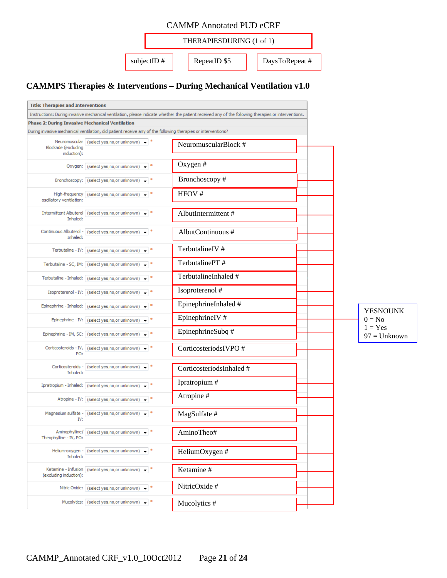|  |               | THERAPIESDURING (1 of 1) |               |
|--|---------------|--------------------------|---------------|
|  | subjectID $#$ | RepeatID \$5             | DaysToRepeat# |

## **CAMMPS Therapies & Interventions – During Mechanical Ventilation v1.0**

| <b>Title: Therapies and Interventions</b>              |                                                                                                              |                                                                                                                                                     |  |                       |
|--------------------------------------------------------|--------------------------------------------------------------------------------------------------------------|-----------------------------------------------------------------------------------------------------------------------------------------------------|--|-----------------------|
|                                                        |                                                                                                              | Instructions: During invasive mechanical ventilation, please indicate whether the patient received any of the following therapies or interventions. |  |                       |
| <b>Phase 2: During Invasive Mechanical Ventilation</b> |                                                                                                              |                                                                                                                                                     |  |                       |
|                                                        | During invasive mechanical ventilation, did patient receive any of the following therapies or interventions? |                                                                                                                                                     |  |                       |
| Blockade (excluding<br>induction):                     | Neuromuscular (select yes, no, or unknown) $\bullet$ *                                                       | NeuromuscularBlock #                                                                                                                                |  |                       |
|                                                        | Oxygen: (select yes, no, or unknown) $\bullet$  *                                                            | Oxygen #                                                                                                                                            |  |                       |
|                                                        | Bronchoscopy: (select yes, no, or unknown) $\rightarrow$                                                     | Bronchoscopy#                                                                                                                                       |  |                       |
| oscillatory ventilation:                               | High-frequency (select yes, no, or unknown) $\rightarrow$                                                    | HFOV #                                                                                                                                              |  |                       |
| - Inhaled:                                             | Intermittent Albuterol (select yes, no, or unknown) -                                                        | AlbutIntermittent#                                                                                                                                  |  |                       |
| Inhaled:                                               | Continuous Albuterol - (select yes, no, or unknown) -                                                        | AlbutContinuous #                                                                                                                                   |  |                       |
|                                                        | Terbutaline - IV: (select yes, no, or unknown)                                                               | TerbutalineIV #                                                                                                                                     |  |                       |
|                                                        | Terbutaline - SC, IM: (select yes,no,or unknown)                                                             | TerbutalinePT#                                                                                                                                      |  |                       |
|                                                        | Terbutaline - Inhaled: (select yes, no, or unknown)                                                          | TerbutalineInhaled #                                                                                                                                |  |                       |
|                                                        | Isoproterenol - IV: (select yes, no, or unknown)                                                             | Isoproterenol #                                                                                                                                     |  |                       |
|                                                        | Epinephrine - Inhaled: (select yes, no, or unknown) -                                                        | EpinephrineInhaled #                                                                                                                                |  | <b>YESNOUNK</b>       |
|                                                        | Epinephrine - IV: (select yes, no, or unknown) -<br>丰                                                        | EpinephrineIV#                                                                                                                                      |  | $0 = No$<br>$1 = Yes$ |
|                                                        | Epinephrine - IM, SC: (select yes, no, or unknown)                                                           | EpinephrineSubq #                                                                                                                                   |  | $97 =$ Unknown        |
| PO:                                                    | Corticosteroids - IV, (select yes, no, or unknown)                                                           | CorticosteriodsIVPO#                                                                                                                                |  |                       |
| Inhaled:                                               | Corticosteroids - (select yes, no, or unknown) -                                                             | CorticosteriodsInhaled #                                                                                                                            |  |                       |
|                                                        | Ipratropium - Inhaled: (select yes, no, or unknown)                                                          | Ipratropium #                                                                                                                                       |  |                       |
|                                                        | Atropine - IV: (select yes, no, or unknown) ▼                                                                | Atropine#                                                                                                                                           |  |                       |
| IV:                                                    | Magnesium sulfate - (select yes, no, or unknown) + *                                                         | MagSulfate #                                                                                                                                        |  |                       |
| Theophylline - IV, PO:                                 | Aminophylline/ (select yes, no, or unknown) -                                                                | AminoTheo#                                                                                                                                          |  |                       |
| Inhaled:                                               | Helium-oxygen - (select yes, no, or unknown) = *                                                             | HeliumOxygen #                                                                                                                                      |  |                       |
| (excluding induction):                                 | Ketamine - Infusion (select yes, no, or unknown) -                                                           | Ketamine #                                                                                                                                          |  |                       |
|                                                        | Nitric Oxide: (select yes, no, or unknown) $\bullet$ *                                                       | NitricOxide #                                                                                                                                       |  |                       |
|                                                        | Mucolytics: (select yes, no, or unknown) -                                                                   | Mucolytics #                                                                                                                                        |  |                       |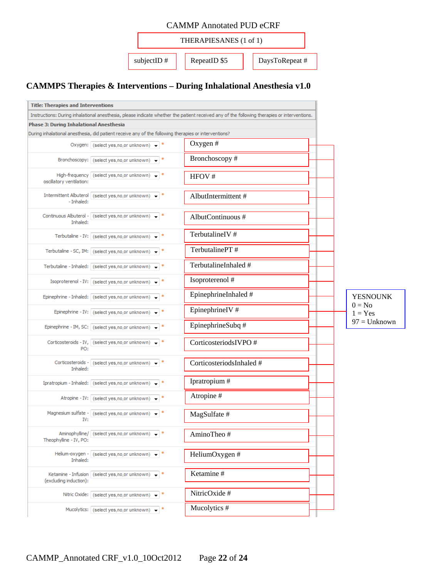| <b>CAMMP Annotated PUD eCRF</b>                |  |  |  |  |  |
|------------------------------------------------|--|--|--|--|--|
| THERAPIESANES (1 of 1)                         |  |  |  |  |  |
| RepeatID \$5<br>subjectID $#$<br>DaysToRepeat# |  |  |  |  |  |

## **CAMMPS Therapies & Interventions – During Inhalational Anesthesia v1.0**

| <b>Title: Therapies and Interventions</b> |                                                                                                      |                                                                                                                                             |                       |
|-------------------------------------------|------------------------------------------------------------------------------------------------------|---------------------------------------------------------------------------------------------------------------------------------------------|-----------------------|
|                                           |                                                                                                      | Instructions: During inhalational anesthesia, please indicate whether the patient received any of the following therapies or interventions. |                       |
| Phase 3: During Inhalational Anesthesia   |                                                                                                      |                                                                                                                                             |                       |
|                                           | During inhalational anesthesia, did patient receive any of the following therapies or interventions? |                                                                                                                                             |                       |
|                                           | Oxygen: (select yes, no, or unknown) +                                                               | Oxygen $#$                                                                                                                                  |                       |
|                                           | Bronchoscopy: (select yes, no, or unknown) +                                                         | Bronchoscopy#                                                                                                                               |                       |
| oscillatory ventilation:                  | High-frequency (select yes, no, or unknown) +                                                        | HFOV#                                                                                                                                       |                       |
| - Inhaled:                                | Intermittent Albuterol (select yes, no, or unknown) +                                                | AlbutIntermittent#                                                                                                                          |                       |
| Inhaled:                                  | Continuous Albuterol - (select yes, no, or unknown) +                                                | AlbutContinuous #                                                                                                                           |                       |
|                                           | Terbutaline - IV: (select yes, no, or unknown) +                                                     | TerbutalineIV #                                                                                                                             |                       |
|                                           | Terbutaline - SC, IM: (select yes, no, or unknown) +                                                 | TerbutalinePT#                                                                                                                              |                       |
|                                           | Terbutaline - Inhaled: (select yes, no, or unknown) +                                                | TerbutalineInhaled #                                                                                                                        |                       |
|                                           | Isoproterenol - IV: (select yes, no, or unknown) +                                                   | Isoproterenol #                                                                                                                             |                       |
|                                           | Epinephrine - Inhaled: (select yes, no, or unknown) +                                                | EpinephrineInhaled #                                                                                                                        | <b>YESNOUNK</b>       |
|                                           | Epinephrine - IV: (select yes, no, or unknown) -                                                     | EpinephrineIV #                                                                                                                             | $0 = No$<br>$1 = Yes$ |
|                                           | Epinephrine - IM, SC: (select yes, no, or unknown) +                                                 | EpinephrineSubq #                                                                                                                           | $97 =$ Unknown        |
| PO:                                       | Corticosteroids - IV, (select yes, no, or unknown) = *                                               | CorticosteriodsIVPO #                                                                                                                       |                       |
| Inhaled:                                  | Corticosteroids - (select yes, no, or unknown) +                                                     | CorticosteriodsInhaled #                                                                                                                    |                       |
|                                           | Ipratropium - Inhaled: (select yes, no, or unknown) +                                                | Ipratropium #                                                                                                                               |                       |
|                                           | Atropine - IV: (select yes, no, or unknown) -                                                        | Atropine#                                                                                                                                   |                       |
| IV:                                       | Magnesium sulfate - (select yes, no, or unknown) $\rightarrow$ *                                     | MagSulfate #                                                                                                                                |                       |
| Theophylline - IV, PO:                    | Aminophylline/ (select yes, no, or unknown) -                                                        | AminoTheo#                                                                                                                                  |                       |
| Inhaled:                                  | Helium-oxygen - (select yes, no, or unknown) $\bullet$ *                                             | HeliumOxygen #                                                                                                                              |                       |
| (excluding induction):                    | Ketamine - Infusion (select yes, no, or unknown) +                                                   | Ketamine#                                                                                                                                   |                       |
|                                           | Nitric Oxide: (select yes, no, or unknown) +                                                         | NitricOxide #                                                                                                                               |                       |
|                                           | Mucolytics: (select yes, no, or unknown) -                                                           | Mucolytics #                                                                                                                                |                       |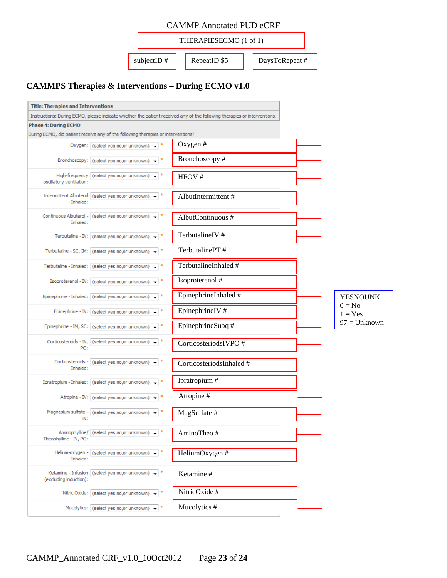

## **CAMMPS Therapies & Interventions – During ECMO v1.0**

| <b>Title: Therapies and Interventions</b> |                                                                                   |                                                                                                                          |                       |
|-------------------------------------------|-----------------------------------------------------------------------------------|--------------------------------------------------------------------------------------------------------------------------|-----------------------|
|                                           |                                                                                   | Instructions: During ECMO, please indicate whether the patient received any of the following therapies or interventions. |                       |
| <b>Phase 4: During ECMO</b>               |                                                                                   |                                                                                                                          |                       |
|                                           | During ECMO, did patient receive any of the following therapies or interventions? |                                                                                                                          |                       |
|                                           | Oxygen: (select yes, no, or unknown) $\rightarrow$                                | Oxygen $#$                                                                                                               |                       |
|                                           | Bronchoscopy: (select yes, no, or unknown) ▼                                      | Bronchoscopy#                                                                                                            |                       |
| oscillatory ventilation:                  | High-frequency (select yes, no, or unknown) $\rightarrow$ *                       | HFOV#                                                                                                                    |                       |
| - Inhaled:                                | Intermittent Albuterol (select yes, no, or unknown)                               | AlbutIntermittent#                                                                                                       |                       |
| Inhaled:                                  | Continuous Albuterol - (select yes, no, or unknown) - *                           | AlbutContinuous #                                                                                                        |                       |
|                                           | Terbutaline - IV: (select yes, no, or unknown)<br>*                               | TerbutalineIV#                                                                                                           |                       |
|                                           | *<br>Terbutaline - SC, IM: (select yes, no, or unknown)                           | TerbutalinePT#                                                                                                           |                       |
|                                           | Terbutaline - Inhaled: (select yes, no, or unknown)<br>*                          | TerbutalineInhaled #                                                                                                     |                       |
|                                           | Isoproterenol - IV: (select yes,no,or unknown)                                    | Isoproterenol #                                                                                                          |                       |
|                                           | Epinephrine - Inhaled: (select yes, no, or unknown)                               | EpinephrineInhaled #                                                                                                     | <b>YESNOUNK</b>       |
|                                           | Epinephrine - IV: (select yes, no, or unknown)                                    | EpinephrineIV#                                                                                                           | $0 = No$<br>$1 = Yes$ |
|                                           | Epinephrine - IM, SC: (select yes, no, or unknown) -<br>÷                         | EpinephrineSubq #                                                                                                        | $97 =$ Unknown        |
| PO:                                       | Corticosteroids - IV, (select yes, no, or unknown) +                              | CorticosteriodsIVPO #                                                                                                    |                       |
| Inhaled:                                  | Corticosteroids - (select yes, no, or unknown) -                                  | CorticosteriodsInhaled #                                                                                                 |                       |
|                                           | Ipratropium - Inhaled: (select yes, no, or unknown)                               | Ipratropium #                                                                                                            |                       |
|                                           | Atropine - IV: (select yes, no, or unknown) -                                     | Atropine#                                                                                                                |                       |
| IV:                                       | Magnesium sulfate - (select yes, no, or unknown) -                                | MagSulfate #                                                                                                             |                       |
| Theophylline - IV, PO:                    | Aminophylline/ (select yes, no, or unknown)<br>*                                  | AminoTheo#                                                                                                               |                       |
| Inhaled:                                  | Helium-oxygen - (select yes, no, or unknown) +                                    | HeliumOxygen #                                                                                                           |                       |
| (excluding induction):                    | Ketamine - Infusion (select yes, no, or unknown) $\bullet$ *                      | Ketamine#                                                                                                                |                       |
|                                           | ÷<br>Nitric Oxide: (select yes, no, or unknown) -                                 | NitricOxide #                                                                                                            |                       |
|                                           | Mucolytics: (select yes, no, or unknown) + *                                      | Mucolytics #                                                                                                             |                       |